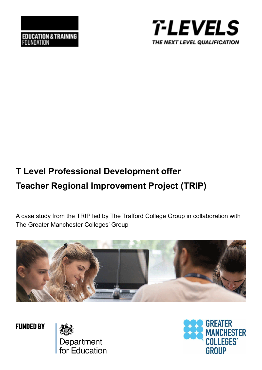



# **T Level Professional Development offer Teacher Regional Improvement Project (TRIP)**

A case study from the TRIP led by The Trafford College Group in collaboration with The Greater Manchester Colleges' Group



**FUNDED BY** 

Department<br>for Education

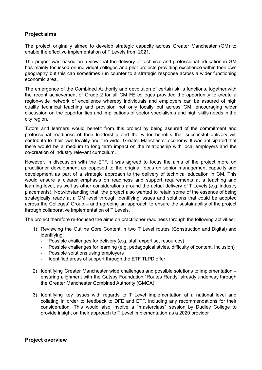# **Project aims**

The project originally aimed to develop strategic capacity across Greater Manchester (GM) to enable the effective implementation of T Levels from 2021.

The project was based on a view that the delivery of technical and professional education in GM has mainly focussed on individual colleges and pilot projects providing excellence within their own geography but this can sometimes run counter to a strategic response across a wider functioning economic area.

The emergence of the Combined Authority and devolution of certain skills functions, together with the recent achievement of Grade 2 for all GM FE colleges provided the opportunity to create a region-wide network of excellence whereby individuals and employers can be assured of high quality technical teaching and provision not only locally but across GM, encouraging wider discussion on the opportunities and implications of sector specialisms and high skills needs in the city region.

Tutors and learners would benefit from this project by being assured of the commitment and professional readiness of their leadership and the wider benefits that successful delivery will contribute to their own locality and the wider Greater Manchester economy. It was anticipated that there would be a medium to long term impact on the relationship with local employers and the co-creation of industry relevant curriculum.

However, in discussion with the ETF, it was agreed to focus the aims of the project more on practitioner development as opposed to the original focus on senior management capacity and development as part of a strategic approach to the delivery of technical education in GM. This would ensure a clearer emphasis on readiness and support requirements at a teaching and learning level, as well as other considerations around the actual delivery of T Levels (e.g. industry placements). Notwithstanding that, the project also wanted to retain some of the essence of being strategically ready at a GM level through identifying issues and solutions that could be adopted across the Colleges' Group – and agreeing an approach to ensure the sustainability of the project through collaborative implementation of T Levels.

The project therefore re-focused the aims on practitioner readiness through the following activities:

- 1) Reviewing the Outline Core Content in two T Level routes (Construction and Digital) and identifying:
	- Possible challenges for delivery (e.g. staff expertise, resources)
	- Possible challenges for learning (e.g. pedagogical styles, difficulty of content, inclusion)
	- Possible solutions using employers
	- Identified areas of support through the ETF TLPD offer
- 2) Identifying Greater Manchester wide challenges and possible solutions to implementation ensuring alignment with the Gatsby Foundation "Routes Ready" already underway through the Greater Manchester Combined Authority (GMCA)
- 3) Identifying key issues with regards to T Level implementation at a national level and collating in order to feedback to DFE and ETF, including any recommendations for their consideration. This would also involve a "masterclass" session by Dudley College to provide insight on their approach to T Level implementation as a 2020 provider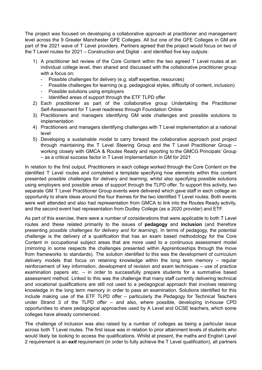The project *was* focused on developing a collaborative approach at practitioner and management level across the 9 Greater Manchester GFE Colleges. All but one of the GFE Colleges in GM are part of the 2021 wave of T Level providers. Partners agreed that the project would focus on two of the T Level routes for 2021 – Construction and Digital - and identified five key outputs:

- 1) A practitioner led review of the Core Content within the two agreed T Level routes at an individual college level, then shared and discussed with the collaborative practitioner group with a focus on:
	- Possible challenges for delivery (e.g. staff expertise, resources)
	- Possible challenges for learning (e.g. pedagogical styles, difficulty of content, inclusion)
	- Possible solutions using employers
	- Identified areas of support through the ETF TLPD offer
- 2) Each practitioner as part of the collaborative group Undertaking the Practitioner Self-Assessment for T Level readiness through Foundation Online
- 3) Practitioners and managers identifying GM wide challenges and possible solutions to implementation
- 4) Practitioners and managers identifying challenges with T Level implementation at a national level
- 5) Developing a sustainable model to carry forward the collaborative approach post project through maintaining the T Level Steering Group and the T Level Practitioner Group – working closely with GMCA & Routes Ready and reporting to the GMCG Principals' Group – as a critical success factor in T Level implementation in GM for 2021

In relation to the first output, Practitioners in each college worked through the Core Content on the identified T Level routes and completed a template specifying how elements within this content presented possible challenges for delivery and learning; whilst also specifying possible solutions using employers and possible areas of support through the TLPD offer. To support this activity, two separate GM T Level Practitioner Group events were delivered which gave staff in each college an opportunity to share ideas around the four themes for the two identified T Level routes. Both events were well attended and also had representation from GMCA to link into the Routes Ready activity, and the second event had representation from Dudley College (as a 2020 provider) and ETF.

As part of this exercise, there were a number of considerations that were applicable to both T Level routes and these related primarily to the issues of **pedagogy** and **inclusion** (and therefore presenting *possible challenges for delivery and for learning*). In terms of pedagogy, the potential challenge is the delivery of a qualification that has an exam based methodology for the Core Content in occupational subject areas that are more used to a continuous assessment model (mirroring in some respects the challenges presented within Apprenticeships through the move from frameworks to standards). The solution identified to this was the development of curriculum delivery models that focus on retaining knowledge within the long term memory – regular reinforcement of key information, development of revision and exam techniques – use of practice examination papers etc.  $-$  in order to successfully prepare students for a summative based assessment method. Linked to this was the challenge that many staff currently delivering technical and vocational qualifications are still not used to a pedagogical approach that involves retaining knowledge in the long term memory in order to pass an examination. Solutions identified for this include making use of the ETF TLPD offer – particularly the Pedagogy for Technical Teachers under Strand 3 of the TLPD offer – and also, where possible, developing in-house CPD opportunities to share pedagogical approaches used by A Level and GCSE teachers, which some colleges have already commenced.

The challenge of inclusion was also raised by a number of colleges as being a particular issue across both T Level routes. The first issue was in relation to prior attainment levels of students who would likely be looking to access the qualifications. Whilst at present, the maths and English Level 2 requirement is an *exit* requirement (in order to fully achieve the T Level qualification), all partners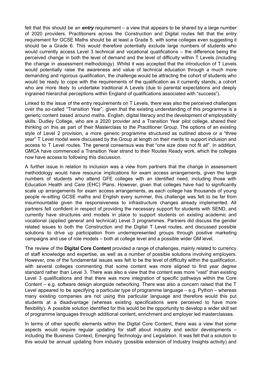felt that this should be an *entry* requirement – a view that appears to be shared by a large number of 2020 providers. Practitioners across the Construction and Digital routes felt that the entry requirement for GCSE Maths should be at least a Grade 5, with some colleges even suggesting it should be a Grade 6. This would therefore potentially exclude large numbers of students who would currently access Level 3 technical and vocational qualifications – the difference being the perceived change in both the level of demand and the level of difficulty within T Levels (including the change in assessment methodology). Whilst it was accepted that the introduction of T Levels would potentially raise the awareness and value of technical education through a much more demanding and rigorous qualification, the challenge would be attracting the cohort of students who would be ready to cope with the requirements of the qualification as it currently stands, a cohort who are more likely to undertake traditional A Levels (due to parental expectations and deeply ingrained hierarchal perceptions within England of qualifications associated with "success").

Linked to the issue of the entry requirements on T Levels, there was also the perceived challenges over the so-called "Transition Year", given that the existing understanding of this programme is a generic content based around maths, English, digital literacy and the development of employability skills. Dudley College, who are a 2020 provider and a Transition Year pilot college, shared their thinking on this as part of their Masterclass to the Practitioner Group. The options of an existing style of Level 2 provision, a more generic programme structured as outlined above or a "three year" T Level model were discussed by the Group at length on their merits to support inclusion and access to T Level routes. The general consensus was that "one size does not fit all". In addition, GMCA have commenced a Transition Year strand to their Routes Ready work, which the colleges now have access to following this discussion.

A further issue in relation to inclusion was a view from partners that the change in assessment methodology would have resource implications for exam access arrangements, given the large numbers of students who attend GFE colleges with an identified need, including those with Education Health and Care (EHC) Plans. However, given that colleges have had to significantly scale up arrangements for exam access arrangements, as each college has thousands of young people re-sitting GCSE maths and English every summer, this challenge was felt to be far from insurmountable given the responsiveness to infrastructure changes already implemented. All partners felt confident in respect of providing the necessary support for students with SEND, and currently have structures and models in place to support students on existing academic and vocational (applied general and technical) Level 3 programmes. Partners did discuss the gender related issues to both the Construction and the Digital T Level routes, and discussed possible solutions to drive up participation from underrepresented groups through positive marketing campaigns and use of role models – both at college level and a possible wider GM level.

The review of the **Digital Core Content** provided a range of challenges, mainly related to currency of staff knowledge and expertise, as well as a number of possible solutions involving employers. However, one of the fundamental issues was felt to be the level of difficulty within the qualification, with several colleges commenting that some content was more aligned to first year degree standard rather than Level 3. There was also a view that the content was more "vast" than existing Level 3 qualifications and that there was more integration of specific pathways within the Core Content – e.g. software design alongside networking. There was also a concern raised that the T Level appeared to be specifying a particular type of programme language – e.g. Python – whereas many existing companies are not using this particular language and therefore would this put students at a disadvantage (whereas existing specifications were perceived to have more flexibility). A possible solution identified for this would be the opportunity to develop a wider skill set of programme languages through additional content, enrichment and employer led masterclasses.

In terms of other specific elements within the Digital Core Content, there was a view that some aspects would require regular updating for staff about industry and sector developments – including the Business Context, Emerging Technology and Legislation. It was felt that a solution to this would be annual updating from industry (possible extension of Industry Insights activity) and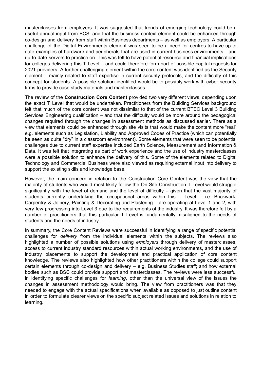masterclasses from employers. It was suggested that trends of emerging technology could be a useful annual input from BCS, and that the business context element could be enhanced through co-design and delivery from staff within Business departments – as well as employers. A particular challenge of the Digital Environments element was seen to be a need for centres to have up to date examples of hardware and peripherals that are used in current business environments – and up to date servers to practice on. This was felt to have potential resource and financial implications for colleges delivering this T Level – and could therefore form part of possible capital requests for 2021 providers. A further challenging element within the core content was identified as the Security element – mainly related to staff expertise in current security protocols, and the difficulty of this concept for students. A possible solution identified would be to possibly work with cyber security firms to provide case study materials and masterclasses.

The review of the **Construction Core Content** provided two very different views, depending upon the exact T Level that would be undertaken. Practitioners from the Building Services background felt that much of the core content was not dissimilar to that of the current BTEC Level 3 Building Services Engineering qualification – and that the difficulty would be more around the pedagogical changes required through the changes in assessment methods as discussed earlier. There as a view that elements could be enhanced through site visits that would make the content more "real" e.g. elements such as Legislation, Liability and Approved Codes of Practice (which can potentially be seen as quite "dry" in a classroom environment). Some elements that were seen to be potential challenges due to current staff expertise included Earth Science, Measurement and Information & Data. It was felt that integrating as part of work experience and the use of industry masterclasses were a possible solution to enhance the delivery of this. Some of the elements related to Digital Technology and Commercial Business were also viewed as requiring external input into delivery to support the existing skills and knowledge base.

However, the main concern in relation to the Construction Core Content was the view that the majority of students who would most likely follow the On-Site Construction T Level would struggle significantly with the level of demand and the level of difficulty – given that the vast majority of students currently undertaking the occupational areas within this T Level – i.e. Brickwork, Carpentry & Joinery, Painting & Decorating and Plastering – are operating at Level 1 and 2, with very few progressing into Level 3 due to the requirements of the industry. It was therefore felt by a number of practitioners that this particular T Level is fundamentally misaligned to the needs of students and the needs of industry.

In summary, the Core Content Reviews were successful in identifying a range of specific potential challenges for *delivery* from the individual elements within the subjects. The reviews also highlighted a number of possible solutions using *employers* through delivery of masterclasses, access to current industry standard resources within actual working environments, and the use of industry placements to support the development and practical application of core content knowledge. The reviews also highlighted how other practitioners within the college could support certain elements through co-design and delivery – e.g. Business Studies staff; and how external bodies such as BSC could provide support and masterclasses. The reviews were less successful in identifying specific challenges for *learning*, other than the universal view of the issues the changes in assessment methodology would bring. The view from practitioners was that they needed to engage with the actual specifications when available as opposed to just outline content in order to formulate clearer views on the specific subject related issues and solutions in relation to learning.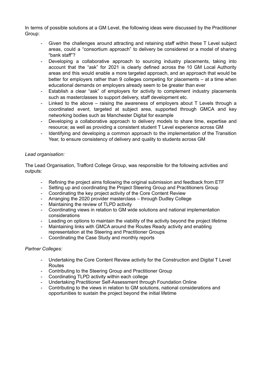In terms of possible solutions at a GM Level, the following ideas were discussed by the Practitioner Group:

- Given the challenges around attracting and retaining staff within these T Level subject areas, could a "consortium approach" to delivery be considered or a model of sharing "bank staff"?
- Developing a collaborative approach to sourcing industry placements, taking into account that the "ask" for 2021 is clearly defined across the 10 GM Local Authority areas and this would enable a more targeted approach, and an approach that would be better for employers rather than 9 colleges competing for placements – at a time when educational demands on employers already seem to be greater than ever
- Establish a clear "ask" of employers for activity to complement industry placements such as masterclasses to support delivery, staff development etc.
- Linked to the above  $-$  raising the awareness of employers about  $T$  Levels through a coordinated event, targeted at subject area, supported through GMCA and key networking bodies such as Manchester Digital for example
- Developing a collaborative approach to delivery models to share time, expertise and resource; as well as providing a consistent student T Level experience across GM
- Identifying and developing a common approach to the implementation of the Transition Year, to ensure consistency of delivery and quality to students across GM

#### *Lead organisation:*

The Lead Organisation, Trafford College Group, was responsible for the following activities and outputs:

- Refining the project aims following the original submission and feedback from ETF
- Setting up and coordinating the Project Steering Group and Practitioners Group
- Coordinating the key project activity of the Core Content Review
- Arranging the 2020 provider masterclass through Dudley College
- Maintaining the review of TLPD activity
- Coordinating views in relation to GM wide solutions and national implementation considerations
- Leading on options to maintain the viability of the activity beyond the project lifetime
- Maintaining links with GMCA around the Routes Ready activity and enabling representation at the Steering and Practitioner Groups
- Coordinating the Case Study and monthly reports

#### *Partner Colleges:*

- Undertaking the Core Content Review activity for the Construction and Digital T Level Routes
- Contributing to the Steering Group and Practitioner Group
- Coordinating TLPD activity within each college
- Undertaking Practitioner Self-Assessment through Foundation Online
- Contributing to the views in relation to GM solutions, national considerations and opportunities to sustain the project beyond the initial lifetime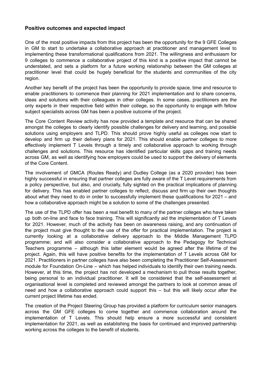#### **Positive outcomes and expected impact**

One of the most positive impacts from this project has been the opportunity for the 9 GFE Colleges in GM to start to undertake a collaborative approach at practitioner and management level to implementing these transformational qualifications from 2021. The willingness and enthusiasm for 9 colleges to commence a collaborative project of this kind is a positive impact that cannot be understated, and sets a platform for a future working relationship between the GM colleges at practitioner level that could be hugely beneficial for the students and communities of the city region.

Another key benefit of the project has been the opportunity to provide space, time and resource to enable practitioners to commence their planning for 2021 implementation and to share concerns, ideas and solutions with their colleagues in other colleges. In some cases, practitioners are the only experts in their respective field within their college, so the opportunity to engage with fellow subject specialists across GM has been a positive outcome of the project.

The Core Content Review activity has now provided a template and resource that can be shared amongst the colleges to clearly identify possible challenges for delivery and learning, and possible solutions using employers and TLPD. This should prove highly useful as colleges now start to develop and firm up their delivery plans for 2021. This should enable partner colleges to more effectively implement T Levels through a timely and collaborative approach to working through challenges and solutions. This resource has identified particular skills gaps and training needs across GM, as well as identifying how employers could be used to support the delivery of elements of the Core Content.

The involvement of GMCA (Routes Ready) and Dudley College (as a 2020 provider) has been highly successful in ensuring that partner colleges are fully aware of the T Level requirements from a policy perspective, but also, and crucially, fully sighted on the practical implications of planning for delivery. This has enabled partner colleges to reflect, discuss and firm up their own thoughts about what they need to do in order to successfully implement these qualifications for 2021 – and how a collaborative approach might be a solution to some of the challenges presented.

The use of the TLPD offer has been a real benefit to many of the partner colleges who have taken up both on-line and face to face training. This will significantly aid the implementation of T Levels for 2021. However, much of the activity has been on awareness raising, and any continuation of the project must give thought to the use of the offer for practical implementation. The project is currently looking at a collaborative delivery approach to the Middle Management TLPD programme; and will also consider a collaborative approach to the Pedagogy for Technical Teachers programme – although this latter element would be agreed after the lifetime of the project. Again, this will have positive benefits for the implementation of T Levels across GM for 2021. Practitioners in partner colleges have also been completing the Practitioner Self-Assessment module for Foundation On-Line – which has helped individuals to identify their own training needs. However, at this time, the project has not developed a mechanism to pull those results together, being personal to an individual practitioner. It will be considered that the self-assessment at organisational level is completed and reviewed amongst the partners to look at common areas of need and how a collaborative approach could support this – but this will likely occur after the current project lifetime has ended.

The creation of the Project Steering Group has provided a platform for curriculum senior managers across the GM GFE colleges to come together and commence collaboration around the implementation of T Levels. This should help ensure a more successful and consistent implementation for 2021, as well as establishing the basis for continued and improved partnership working across the colleges to the benefit of students.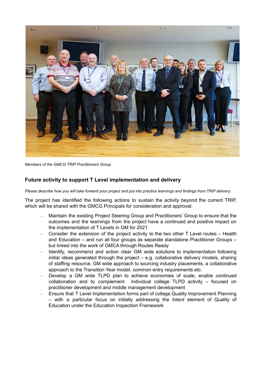

*Members of the GMCG TRIP Practitioners Group*

## **Future activity to support T Level implementation and delivery**

*Please describe how you will take forward your project and put into practice learnings and findings from TRIP delivery.*

The project has identified the following actions to sustain the activity beyond the current TRIP, which will be shared with the GMCG Principals for consideration and approval:

- *-* Maintain the existing Project Steering Group and Practitioners' Group to ensure that the outcomes and the learnings from the project have a continued and positive impact on the implementation of T Levels in GM for 2021
- *-* Consider the extension of the project activity to the two other T Level routes Health and Education – and run all four groups as separate standalone Practitioner Groups – but linked into the work of GMCA through Routes Ready
- *-* Identify, recommend and action clear GM wide solutions to implementation following initial ideas generated through the project – e.g. collaborative delivery models, sharing of staffing resource, GM wide approach to sourcing industry placements, a collaborative approach to the Transition Year model, common entry requirements etc.
- *-* Develop a GM wide TLPD plan to achieve economies of scale, enable continued collaboration and to complement individual college TLPD activity – focused on practitioner development and middle management development
- *-* Ensure that T Level implementation forms part of college Quality Improvement Planning – with a particular focus on initially addressing the *Intent* element of Quality of Education under the Education Inspection Framework